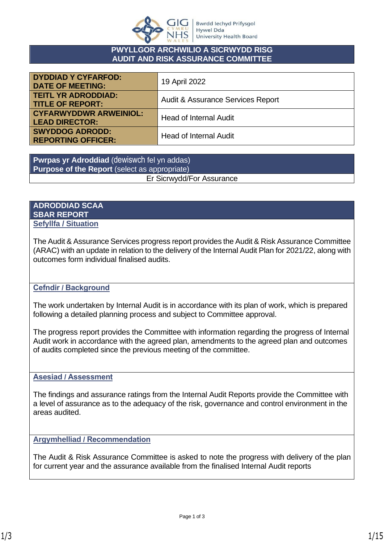

### **PWYLLGOR ARCHWILIO A SICRWYDD RISG AUDIT AND RISK ASSURANCE COMMITTEE**

| <b>DYDDIAD Y CYFARFOD:</b><br><b>DATE OF MEETING:</b>  | 19 April 2022                     |
|--------------------------------------------------------|-----------------------------------|
| <b>TEITL YR ADRODDIAD:</b><br><b>TITLE OF REPORT:</b>  | Audit & Assurance Services Report |
| <b>CYFARWYDDWR ARWEINIOL:</b><br><b>LEAD DIRECTOR:</b> | <b>Head of Internal Audit</b>     |
| <b>SWYDDOG ADRODD:</b><br><b>REPORTING OFFICER:</b>    | <b>Head of Internal Audit</b>     |

**Pwrpas yr Adroddiad** (dewiswch fel yn addas) **Purpose of the Report** (select as appropriate) Er Sicrwydd/For Assurance

### **ADRODDIAD SCAA SBAR REPORT Sefyllfa / Situation**

The Audit & Assurance Services progress report provides the Audit & Risk Assurance Committee (ARAC) with an update in relation to the delivery of the Internal Audit Plan for 2021/22, along with outcomes form individual finalised audits.

## **Cefndir / Background**

The work undertaken by Internal Audit is in accordance with its plan of work, which is prepared following a detailed planning process and subject to Committee approval.

The progress report provides the Committee with information regarding the progress of Internal Audit work in accordance with the agreed plan, amendments to the agreed plan and outcomes of audits completed since the previous meeting of the committee.

### **Asesiad / Assessment**

The findings and assurance ratings from the Internal Audit Reports provide the Committee with a level of assurance as to the adequacy of the risk, governance and control environment in the areas audited.

### **Argymhelliad / Recommendation**

The Audit & Risk Assurance Committee is asked to note the progress with delivery of the plan for current year and the assurance available from the finalised Internal Audit reports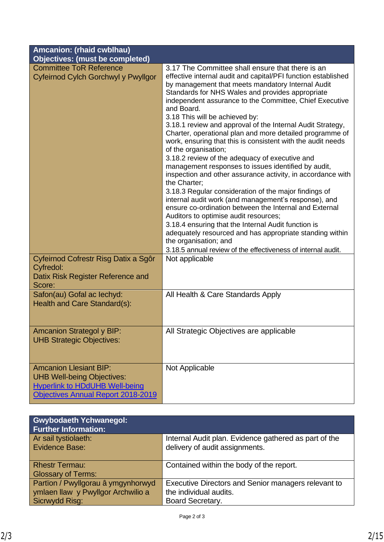| Amcanion: (rhaid cwblhau)                                                                                                                         |                                                                                                                                                                                                                                                                                                                                                                                                                                                                                                                                                                                                                                                                                                                                                                                                                                                                                                                                                                                                                                                                                                                                                                                |
|---------------------------------------------------------------------------------------------------------------------------------------------------|--------------------------------------------------------------------------------------------------------------------------------------------------------------------------------------------------------------------------------------------------------------------------------------------------------------------------------------------------------------------------------------------------------------------------------------------------------------------------------------------------------------------------------------------------------------------------------------------------------------------------------------------------------------------------------------------------------------------------------------------------------------------------------------------------------------------------------------------------------------------------------------------------------------------------------------------------------------------------------------------------------------------------------------------------------------------------------------------------------------------------------------------------------------------------------|
| <b>Objectives: (must be completed)</b>                                                                                                            |                                                                                                                                                                                                                                                                                                                                                                                                                                                                                                                                                                                                                                                                                                                                                                                                                                                                                                                                                                                                                                                                                                                                                                                |
| <b>Committee ToR Reference</b><br>Cyfeirnod Cylch Gorchwyl y Pwyllgor                                                                             | 3.17 The Committee shall ensure that there is an<br>effective internal audit and capital/PFI function established<br>by management that meets mandatory Internal Audit<br>Standards for NHS Wales and provides appropriate<br>independent assurance to the Committee, Chief Executive<br>and Board.<br>3.18 This will be achieved by:<br>3.18.1 review and approval of the Internal Audit Strategy,<br>Charter, operational plan and more detailed programme of<br>work, ensuring that this is consistent with the audit needs<br>of the organisation;<br>3.18.2 review of the adequacy of executive and<br>management responses to issues identified by audit,<br>inspection and other assurance activity, in accordance with<br>the Charter:<br>3.18.3 Regular consideration of the major findings of<br>internal audit work (and management's response), and<br>ensure co-ordination between the Internal and External<br>Auditors to optimise audit resources;<br>3.18.4 ensuring that the Internal Audit function is<br>adequately resourced and has appropriate standing within<br>the organisation; and<br>3.18.5 annual review of the effectiveness of internal audit. |
| Cyfeirnod Cofrestr Risg Datix a Sgôr<br>Cyfredol:<br>Datix Risk Register Reference and<br>Score:                                                  | Not applicable                                                                                                                                                                                                                                                                                                                                                                                                                                                                                                                                                                                                                                                                                                                                                                                                                                                                                                                                                                                                                                                                                                                                                                 |
| Safon(au) Gofal ac lechyd:<br>Health and Care Standard(s):                                                                                        | All Health & Care Standards Apply                                                                                                                                                                                                                                                                                                                                                                                                                                                                                                                                                                                                                                                                                                                                                                                                                                                                                                                                                                                                                                                                                                                                              |
| <b>Amcanion Strategol y BIP:</b><br><b>UHB Strategic Objectives:</b>                                                                              | All Strategic Objectives are applicable                                                                                                                                                                                                                                                                                                                                                                                                                                                                                                                                                                                                                                                                                                                                                                                                                                                                                                                                                                                                                                                                                                                                        |
| <b>Amcanion Llesiant BIP:</b><br><b>UHB Well-being Objectives:</b><br><b>Hyperlink to HDdUHB Well-being</b><br>Objectives Annual Report 2018-2019 | Not Applicable                                                                                                                                                                                                                                                                                                                                                                                                                                                                                                                                                                                                                                                                                                                                                                                                                                                                                                                                                                                                                                                                                                                                                                 |

| <b>Gwybodaeth Ychwanegol:</b><br><b>Further Information:</b> |                                                       |
|--------------------------------------------------------------|-------------------------------------------------------|
| Ar sail tystiolaeth:                                         | Internal Audit plan. Evidence gathered as part of the |
| Evidence Base:                                               | delivery of audit assignments.                        |
|                                                              |                                                       |
| <b>Rhestr Termau:</b>                                        | Contained within the body of the report.              |
| <b>Glossary of Terms:</b>                                    |                                                       |
| Partion / Pwyllgorau â ymgynhorwyd                           | Executive Directors and Senior managers relevant to   |
| ymlaen llaw y Pwyllgor Archwilio a                           | the individual audits.                                |
| Sicrwydd Risg:                                               | Board Secretary.                                      |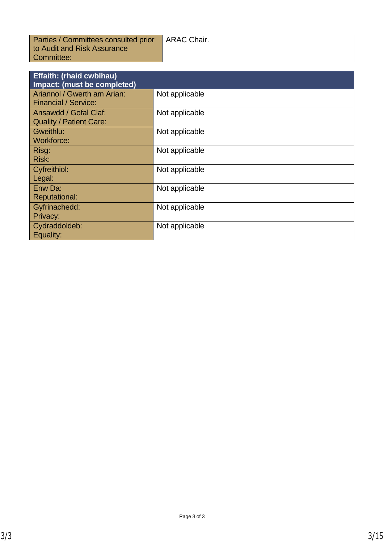| Parties / Committees consulted prior | <b>ARAC Chair.</b> |
|--------------------------------------|--------------------|
| to Audit and Risk Assurance          |                    |
| Committee:                           |                    |

| <b>Effaith: (rhaid cwblhau)</b><br>Impact: (must be completed) |                |
|----------------------------------------------------------------|----------------|
| Ariannol / Gwerth am Arian:<br><b>Financial / Service:</b>     | Not applicable |
| Ansawdd / Gofal Claf:<br><b>Quality / Patient Care:</b>        | Not applicable |
| Gweithlu:<br><b>Workforce:</b>                                 | Not applicable |
| Risg:<br>Risk:                                                 | Not applicable |
| Cyfreithiol:<br>Legal:                                         | Not applicable |
| Enw Da:<br><b>Reputational:</b>                                | Not applicable |
| Gyfrinachedd:<br>Privacy:                                      | Not applicable |
| Cydraddoldeb:<br>Equality:                                     | Not applicable |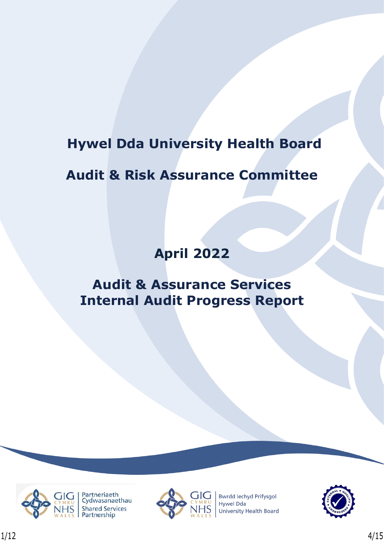# **Hywel Dda University Health Board**

# **Audit & Risk Assurance Committee**

# **April 2022**

# **Audit & Assurance Services Internal Audit Progress Report**





**Bwrdd lechyd Prifysgol Hywel Dda University Health Board** 

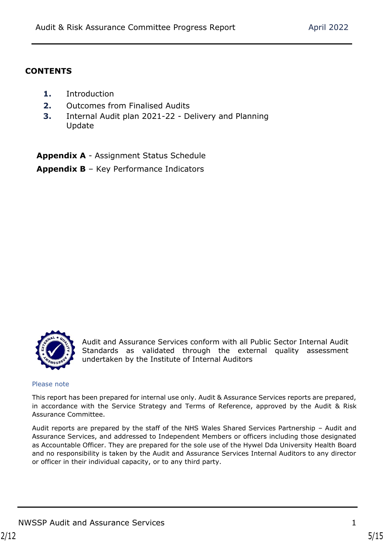## **CONTENTS**

- **1.** Introduction
- **2.** Outcomes from Finalised Audits
- **3.** Internal Audit plan 2021-22 Delivery and Planning Update

**Appendix A** - Assignment Status Schedule **Appendix B** – Key Performance Indicators



Audit and Assurance Services conform with all Public Sector Internal Audit Standards as validated through the external quality assessment undertaken by the Institute of Internal Auditors

Please note

This report has been prepared for internal use only. Audit & Assurance Services reports are prepared, in accordance with the Service Strategy and Terms of Reference, approved by the Audit & Risk Assurance Committee.

Audit reports are prepared by the staff of the NHS Wales Shared Services Partnership – Audit and Assurance Services, and addressed to Independent Members or officers including those designated as Accountable Officer. They are prepared for the sole use of the Hywel Dda University Health Board and no responsibility is taken by the Audit and Assurance Services Internal Auditors to any director or officer in their individual capacity, or to any third party.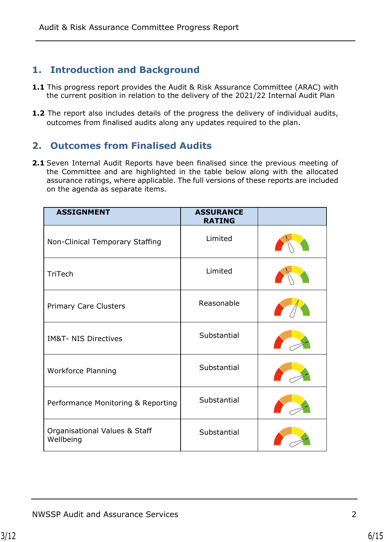# **1. Introduction and Background**

- **1.1** This progress report provides the Audit & Risk Assurance Committee (ARAC) with the current position in relation to the delivery of the 2021/22 Internal Audit Plan
- **1.2** The report also includes details of the progress the delivery of individual audits, outcomes from finalised audits along any updates required to the plan.

# **2. Outcomes from Finalised Audits**

**2.1** Seven Internal Audit Reports have been finalised since the previous meeting of the Committee and are highlighted in the table below along with the allocated assurance ratings, where applicable. The full versions of these reports are included on the agenda as separate items.

| <b>ASSIGNMENT</b>                          | <b>ASSURANCE</b><br><b>RATING</b> |  |
|--------------------------------------------|-----------------------------------|--|
| Non-Clinical Temporary Staffing            | Limited                           |  |
| TriTech                                    | Limited                           |  |
| <b>Primary Care Clusters</b>               | Reasonable                        |  |
| <b>IM&amp;T- NIS Directives</b>            | Substantial                       |  |
| <b>Workforce Planning</b>                  | Substantial                       |  |
| Performance Monitoring & Reporting         | Substantial                       |  |
| Organisational Values & Staff<br>Wellbeing | Substantial                       |  |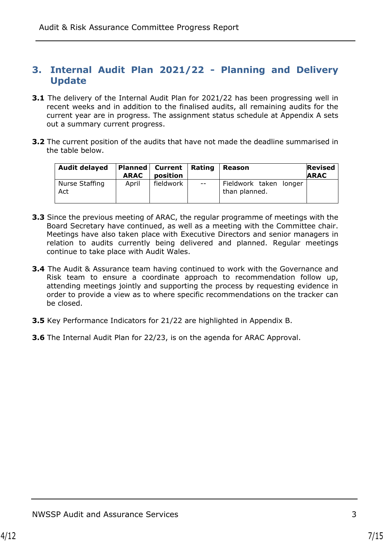## **3. Internal Audit Plan 2021/22 - Planning and Delivery Update**

- **3.1** The delivery of the Internal Audit Plan for 2021/22 has been progressing well in recent weeks and in addition to the finalised audits, all remaining audits for the current year are in progress. The assignment status schedule at Appendix A sets out a summary current progress.
- **3.2** The current position of the audits that have not made the deadline summarised in the table below.

| <b>Audit delayed</b>  | <b>ARAC</b> | Planned   Current   Rating<br>position |       | Reason                                  | <b>Revised</b><br><b>ARAC</b> |
|-----------------------|-------------|----------------------------------------|-------|-----------------------------------------|-------------------------------|
| Nurse Staffing<br>Act | April       | fieldwork                              | $- -$ | Fieldwork taken longer<br>than planned. |                               |

- **3.3** Since the previous meeting of ARAC, the regular programme of meetings with the Board Secretary have continued, as well as a meeting with the Committee chair. Meetings have also taken place with Executive Directors and senior managers in relation to audits currently being delivered and planned. Regular meetings continue to take place with Audit Wales.
- **3.4** The Audit & Assurance team having continued to work with the Governance and Risk team to ensure a coordinate approach to recommendation follow up, attending meetings jointly and supporting the process by requesting evidence in order to provide a view as to where specific recommendations on the tracker can be closed.
- **3.5** Key Performance Indicators for 21/22 are highlighted in Appendix B.
- **3.6** The Internal Audit Plan for 22/23, is on the agenda for ARAC Approval.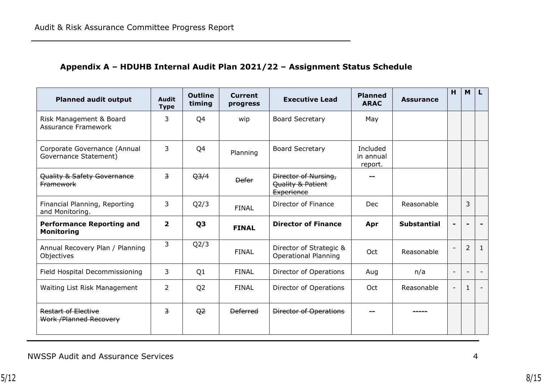# **Appendix A – HDUHB Internal Audit Plan 2021/22 – Assignment Status Schedule**

| <b>Planned audit output</b>                           | <b>Audit</b><br><b>Type</b> | <b>Outline</b><br>timing | <b>Current</b><br>progress | <b>Executive Lead</b>                                          | <b>Planned</b><br><b>ARAC</b>    | <b>Assurance</b>   | H                        | M                        |                          |
|-------------------------------------------------------|-----------------------------|--------------------------|----------------------------|----------------------------------------------------------------|----------------------------------|--------------------|--------------------------|--------------------------|--------------------------|
| Risk Management & Board<br><b>Assurance Framework</b> | 3                           | Q4                       | wip                        | <b>Board Secretary</b>                                         | May                              |                    |                          |                          |                          |
| Corporate Governance (Annual<br>Governance Statement) | 3                           | Q4                       | Planning                   | <b>Board Secretary</b>                                         | Included<br>in annual<br>report. |                    |                          |                          |                          |
| Quality & Safety Governance<br><b>Framework</b>       | $\overline{3}$              | Q <sub>3/4</sub>         | <b>Defer</b>               | Director of Nursing,<br>Quality & Patient<br><b>Experience</b> |                                  |                    |                          |                          |                          |
| Financial Planning, Reporting<br>and Monitoring.      | 3                           | Q <sub>2</sub> /3        | <b>FINAL</b>               | Director of Finance                                            | <b>Dec</b>                       | Reasonable         |                          | 3                        |                          |
| <b>Performance Reporting and</b><br><b>Monitoring</b> | $\overline{2}$              | Q <sub>3</sub>           | <b>FINAL</b>               | <b>Director of Finance</b>                                     | Apr                              | <b>Substantial</b> |                          |                          |                          |
| Annual Recovery Plan / Planning<br>Objectives         | 3                           | Q2/3                     | <b>FINAL</b>               | Director of Strategic &<br><b>Operational Planning</b>         | Oct                              | Reasonable         |                          | $\overline{2}$           | $\mathbf{1}$             |
| Field Hospital Decommissioning                        | 3                           | Q1                       | <b>FINAL</b>               | Director of Operations                                         | Aug                              | n/a                | $\overline{\phantom{a}}$ | $\overline{\phantom{a}}$ | $\overline{\phantom{a}}$ |
| Waiting List Risk Management                          | 2                           | Q <sub>2</sub>           | <b>FINAL</b>               | Director of Operations                                         | Oct                              | Reasonable         |                          | $\mathbf{1}$             |                          |
| <b>Restart of Elective</b><br>Work / Planned Recovery | $\overline{3}$              | $\Theta$ <sup>2</sup>    | <b>Deferred</b>            | <b>Director of Operations</b>                                  |                                  |                    |                          |                          |                          |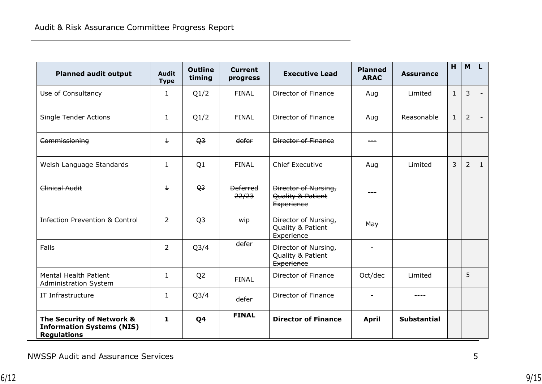| <b>Planned audit output</b>                                                         | <b>Audit</b><br><b>Type</b> | <b>Outline</b><br>timing | <b>Current</b><br>progress | <b>Executive Lead</b>                                   | <b>Planned</b><br><b>ARAC</b> | <b>Assurance</b>   | H              | <b>M</b>       | L              |
|-------------------------------------------------------------------------------------|-----------------------------|--------------------------|----------------------------|---------------------------------------------------------|-------------------------------|--------------------|----------------|----------------|----------------|
| Use of Consultancy                                                                  | 1                           | Q1/2                     | <b>FINAL</b>               | Director of Finance                                     | Aug                           | Limited            | $\mathbf{1}$   | 3              | $\blacksquare$ |
| Single Tender Actions                                                               | $\mathbf{1}$                | Q1/2                     | <b>FINAL</b>               | Director of Finance                                     | Aug                           | Reasonable         | $\mathbf{1}$   | $\overline{2}$ |                |
| Commissioning                                                                       | $\mathbf{1}$                | Q <sub>3</sub>           | defer                      | Director of Finance                                     |                               |                    |                |                |                |
| Welsh Language Standards                                                            | $\mathbf{1}$                | Q1                       | <b>FINAL</b>               | <b>Chief Executive</b>                                  | Aug                           | Limited            | $\overline{3}$ | $\overline{2}$ | $\mathbf{1}$   |
| Clinical Audit                                                                      | $\pm$                       | Q <sub>3</sub>           | <b>Deferred</b><br>22/23   | Director of Nursing,<br>Quality & Patient<br>Experience |                               |                    |                |                |                |
| <b>Infection Prevention &amp; Control</b>                                           | $\overline{2}$              | Q <sub>3</sub>           | wip                        | Director of Nursing,<br>Quality & Patient<br>Experience | May                           |                    |                |                |                |
| <b>Falls</b>                                                                        | $\overline{2}$              | Q <sub>3/4</sub>         | defer                      | Director of Nursing,<br>Quality & Patient<br>Experience |                               |                    |                |                |                |
| <b>Mental Health Patient</b><br>Administration System                               | $\mathbf{1}$                | Q <sub>2</sub>           | <b>FINAL</b>               | Director of Finance                                     | Oct/dec                       | Limited            |                | 5              |                |
| IT Infrastructure                                                                   | $\mathbf{1}$                | Q <sub>3</sub> /4        | defer                      | <b>Director of Finance</b>                              |                               |                    |                |                |                |
| The Security of Network &<br><b>Information Systems (NIS)</b><br><b>Regulations</b> | 1                           | Q <sub>4</sub>           | <b>FINAL</b>               | <b>Director of Finance</b>                              | <b>April</b>                  | <b>Substantial</b> |                |                |                |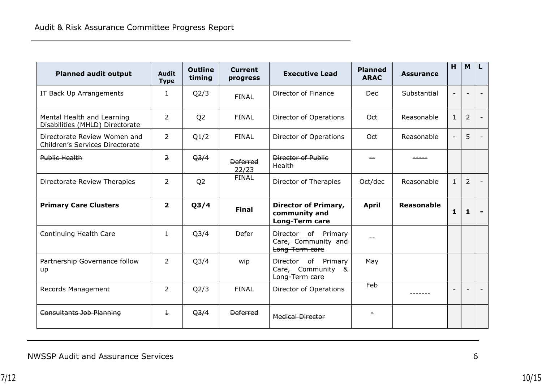| <b>Planned audit output</b>                                     | <b>Audit</b><br><b>Type</b> | <b>Outline</b><br>timing | <b>Current</b><br>progress | <b>Executive Lead</b>                                          | <b>Planned</b><br><b>ARAC</b> | <b>Assurance</b>  | H            | M              |  |
|-----------------------------------------------------------------|-----------------------------|--------------------------|----------------------------|----------------------------------------------------------------|-------------------------------|-------------------|--------------|----------------|--|
| IT Back Up Arrangements                                         | $\mathbf{1}$                | Q2/3                     | <b>FINAL</b>               | Director of Finance                                            | <b>Dec</b>                    | Substantial       |              |                |  |
| Mental Health and Learning<br>Disabilities (MHLD) Directorate   | $\overline{2}$              | Q <sub>2</sub>           | <b>FINAL</b>               | Director of Operations                                         | Oct                           | Reasonable        | $\mathbf{1}$ | $\overline{2}$ |  |
| Directorate Review Women and<br>Children's Services Directorate | $\overline{2}$              | Q1/2                     | <b>FINAL</b>               | Director of Operations                                         | Oct                           | Reasonable        |              | 5              |  |
| Public Health                                                   | $\overline{2}$              | Q <sub>3/4</sub>         | <b>Deferred</b><br>22/23   | <b>Director of Public</b><br>Health                            |                               |                   |              |                |  |
| Directorate Review Therapies                                    | $\overline{2}$              | Q <sub>2</sub>           | <b>FINAL</b>               | Director of Therapies                                          | Oct/dec                       | Reasonable        | $\mathbf{1}$ | $\overline{2}$ |  |
| <b>Primary Care Clusters</b>                                    | $\overline{2}$              | Q <sub>3/4</sub>         | <b>Final</b>               | Director of Primary,<br>community and<br><b>Long-Term care</b> | <b>April</b>                  | <b>Reasonable</b> | 1            | 1              |  |
| Continuing Health Care                                          | $\mathbf{1}$                | Q <sub>3/4</sub>         | <b>Defer</b>               | Director of Primary<br>Care, Community and<br>Long-Term care   |                               |                   |              |                |  |
| Partnership Governance follow<br>up                             | $\overline{2}$              | Q <sub>3/4</sub>         | wip                        | Director of Primary<br>Care, Community &<br>Long-Term care     | May                           |                   |              |                |  |
| Records Management                                              | $\overline{2}$              | Q2/3                     | <b>FINAL</b>               | Director of Operations                                         | Feb                           |                   |              |                |  |
| Consultants Job Planning                                        | $\pm$                       | Q <sub>3/4</sub>         | <b>Deferred</b>            | <b>Medical Director</b>                                        |                               |                   |              |                |  |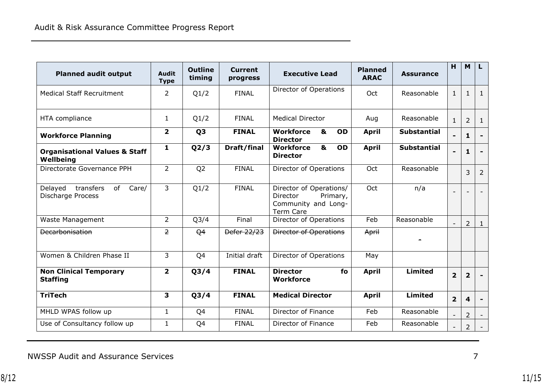| <b>Planned audit output</b>                                     | <b>Audit</b><br><b>Type</b> | <b>Outline</b><br>timing | <b>Current</b><br>progress | <b>Executive Lead</b>                                                                      | <b>Planned</b><br><b>ARAC</b> | <b>Assurance</b>   | H              | M                       | L                        |
|-----------------------------------------------------------------|-----------------------------|--------------------------|----------------------------|--------------------------------------------------------------------------------------------|-------------------------------|--------------------|----------------|-------------------------|--------------------------|
| <b>Medical Staff Recruitment</b>                                | $\overline{2}$              | Q1/2                     | <b>FINAL</b>               | Director of Operations                                                                     | Oct                           | Reasonable         | $\mathbf{1}$   | $\mathbf{1}$            | $\mathbf{1}$             |
| HTA compliance                                                  | $\mathbf{1}$                | Q1/2                     | <b>FINAL</b>               | <b>Medical Director</b>                                                                    | Aug                           | Reasonable         | $\mathbf{1}$   | $\overline{2}$          | $\mathbf{1}$             |
| <b>Workforce Planning</b>                                       | $\overline{\mathbf{2}}$     | Q <sub>3</sub>           | <b>FINAL</b>               | &<br><b>Workforce</b><br>OD<br><b>Director</b>                                             | <b>April</b>                  | <b>Substantial</b> |                | 1                       | $\overline{\phantom{a}}$ |
| <b>Organisational Values &amp; Staff</b><br>Wellbeing           | $\mathbf{1}$                | Q2/3                     | Draft/final                | &<br><b>Workforce</b><br>OD<br><b>Director</b>                                             | <b>April</b>                  | <b>Substantial</b> |                | 1                       | $\blacksquare$           |
| Directorate Governance PPH                                      | $\overline{2}$              | Q <sub>2</sub>           | <b>FINAL</b>               | Director of Operations                                                                     | Oct                           | Reasonable         |                | 3                       | $\overline{2}$           |
| of<br>Care/<br>Delayed<br>transfers<br><b>Discharge Process</b> | 3                           | Q1/2                     | <b>FINAL</b>               | Director of Operations/<br>Director<br>Primary,<br>Community and Long-<br><b>Term Care</b> | Oct                           | n/a                |                |                         |                          |
| Waste Management                                                | $\overline{2}$              | Q <sub>3</sub> /4        | Final                      | Director of Operations                                                                     | Feb                           | Reasonable         |                | 2                       | $\mathbf{1}$             |
| <b>Decarbonisation</b>                                          | $\overline{2}$              | Q <sub>4</sub>           | Defer 22/23                | <b>Director of Operations</b>                                                              | April                         |                    |                |                         |                          |
| Women & Children Phase II                                       | 3                           | Q4                       | Initial draft              | <b>Director of Operations</b>                                                              | May                           |                    |                |                         |                          |
| <b>Non Clinical Temporary</b><br><b>Staffing</b>                | $\overline{2}$              | Q <sub>3/4</sub>         | <b>FINAL</b>               | <b>Director</b><br>fo<br><b>Workforce</b>                                                  | <b>April</b>                  | <b>Limited</b>     | 2 <sup>1</sup> | $\overline{2}$          | $\overline{\phantom{a}}$ |
| <b>TriTech</b>                                                  | 3                           | Q <sub>3/4</sub>         | <b>FINAL</b>               | <b>Medical Director</b>                                                                    | <b>April</b>                  | <b>Limited</b>     | 2 <sup>1</sup> | $\overline{\mathbf{4}}$ | $\overline{\phantom{a}}$ |
| MHLD WPAS follow up                                             | $\mathbf{1}$                | Q4                       | <b>FINAL</b>               | Director of Finance                                                                        | Feb                           | Reasonable         |                | $\overline{2}$          |                          |
| Use of Consultancy follow up                                    | $\mathbf{1}$                | Q4                       | <b>FINAL</b>               | Director of Finance                                                                        | Feb                           | Reasonable         |                | $\overline{2}$          |                          |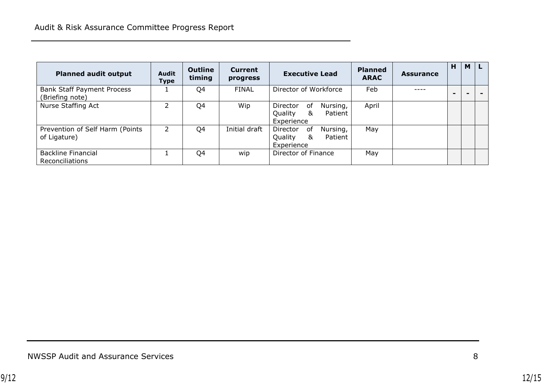| <b>Planned audit output</b>                          | <b>Audit</b><br><b>Type</b> | Outline<br>timing | <b>Current</b><br>progress | <b>Executive Lead</b>                                               | <b>Planned</b><br><b>ARAC</b> | <b>Assurance</b> | H | M |  |
|------------------------------------------------------|-----------------------------|-------------------|----------------------------|---------------------------------------------------------------------|-------------------------------|------------------|---|---|--|
| <b>Bank Staff Payment Process</b><br>(Briefing note) |                             | Q4                | <b>FINAL</b>               | Director of Workforce                                               | Feb                           |                  |   |   |  |
| Nurse Staffing Act                                   |                             | Q4                | Wip                        | Nursing,<br>Director<br>0f<br>&<br>Quality<br>Patient<br>Experience | April                         |                  |   |   |  |
| Prevention of Self Harm (Points<br>of Ligature)      | 2                           | Q4                | Initial draft              | Director<br>Nursing,<br>0f<br>Quality<br>&<br>Patient<br>Experience | May                           |                  |   |   |  |
| <b>Backline Financial</b><br>Reconciliations         |                             | Q4                | wip                        | Director of Finance                                                 | May                           |                  |   |   |  |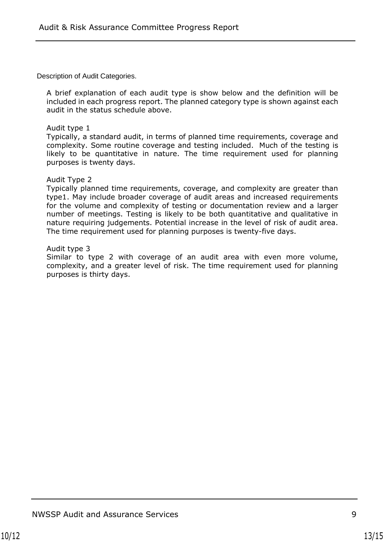Description of Audit Categories.

A brief explanation of each audit type is show below and the definition will be included in each progress report. The planned category type is shown against each audit in the status schedule above.

#### Audit type 1

Typically, a standard audit, in terms of planned time requirements, coverage and complexity. Some routine coverage and testing included. Much of the testing is likely to be quantitative in nature. The time requirement used for planning purposes is twenty days.

#### Audit Type 2

Typically planned time requirements, coverage, and complexity are greater than type1. May include broader coverage of audit areas and increased requirements for the volume and complexity of testing or documentation review and a larger number of meetings. Testing is likely to be both quantitative and qualitative in nature requiring judgements. Potential increase in the level of risk of audit area. The time requirement used for planning purposes is twenty-five days.

#### Audit type 3

Similar to type 2 with coverage of an audit area with even more volume, complexity, and a greater level of risk. The time requirement used for planning purposes is thirty days.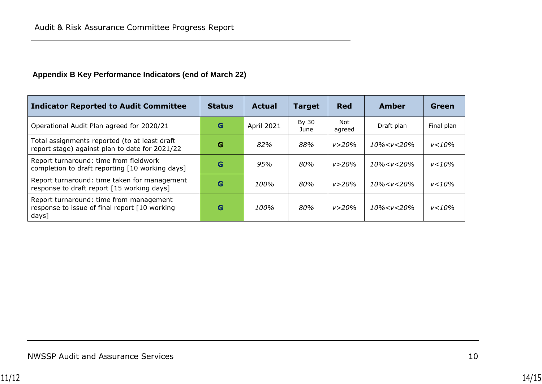## **Appendix B Key Performance Indicators (end of March 22)**

| <b>Indicator Reported to Audit Committee</b>                                                       | <b>Status</b> | <b>Actual</b> | <b>Target</b> | <b>Red</b>    | Amber                                                        | Green      |
|----------------------------------------------------------------------------------------------------|---------------|---------------|---------------|---------------|--------------------------------------------------------------|------------|
| Operational Audit Plan agreed for 2020/21                                                          | G             | April 2021    | By 30<br>June | Not<br>agreed | Draft plan                                                   | Final plan |
| Total assignments reported (to at least draft<br>report stage) against plan to date for 2021/22    | G             | 82%           | 88%           | v > 20%       | $10\% < v < 20\%$                                            | $v < 10\%$ |
| Report turnaround: time from fieldwork<br>completion to draft reporting [10 working days]          | G             | 95%           | 80%           | v > 20%       | 10% <v<20%< td=""><td><math>v &lt; 10\%</math></td></v<20%<> | $v < 10\%$ |
| Report turnaround: time taken for management<br>response to draft report [15 working days]         | G             | 100%          | 80%           | v > 20%       | 10% <v<20%< td=""><td><math>v &lt; 10\%</math></td></v<20%<> | $v < 10\%$ |
| Report turnaround: time from management<br>response to issue of final report [10 working]<br>days] | G             | 100%          | 80%           | v > 20%       | $10\% < v < 20\%$                                            | $v < 10\%$ |